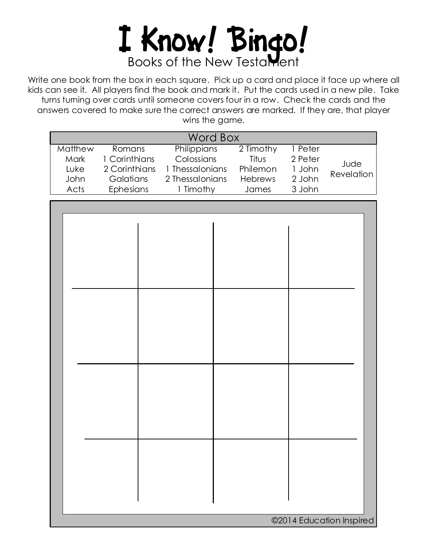

Write one book from the box in each square. Pick up a card and place it face up where all kids can see it. All players find the book and mark it. Put the cards used in a new pile. Take turns turning over cards until someone covers four in a row. Check the cards and the answers covered to make sure the correct answers are marked. If they are, that player wins the game.

| Word Box |               |                      |                |         |            |
|----------|---------------|----------------------|----------------|---------|------------|
| Matthew  | Romans        | Philippians          | 2 Timothy      | 1 Peter |            |
| Mark     | 1 Corinthians | Colossians           | Titus          | 2 Peter | Jude       |
| Luke     | 2 Corinthians | <b>Thessalonians</b> | Philemon       | 1 John  | Revelation |
| John     | Galatians     | 2 Thessalonians      | <b>Hebrews</b> | 2 John  |            |
| Acts     | Ephesians     | Timothy              | James          | 3 John  |            |

| ©2014 Education Inspired |  |  |  |
|--------------------------|--|--|--|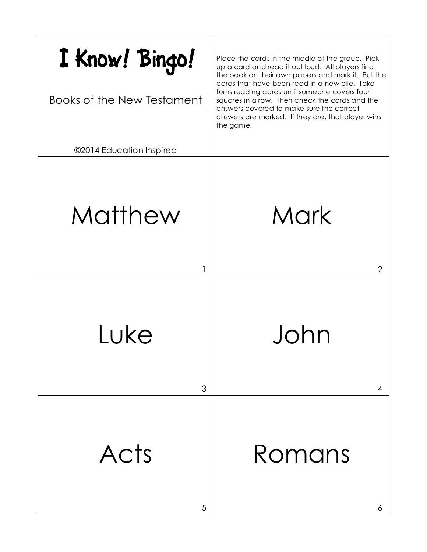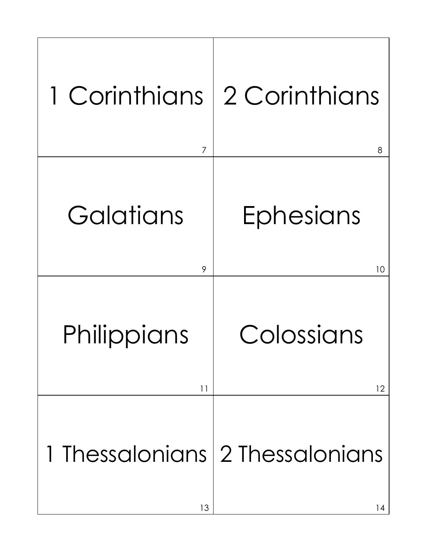| $\overline{7}$ | 1 Corinthians 2 Corinthians<br>8      |
|----------------|---------------------------------------|
| Galatians      | <b>Ephesians</b>                      |
| 9              | 10                                    |
| Philippians    | Colossians                            |
| 11             | 12                                    |
| 13             | 1 Thessalonians 2 Thessalonians<br>14 |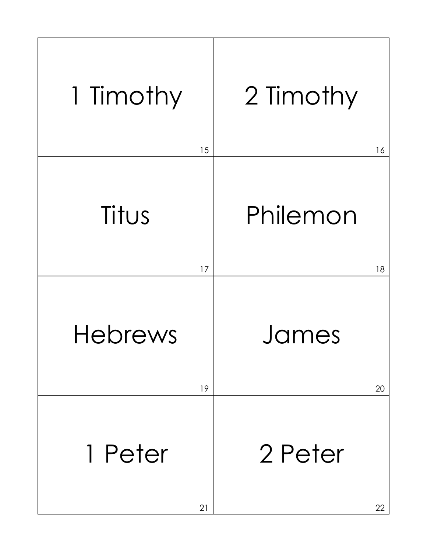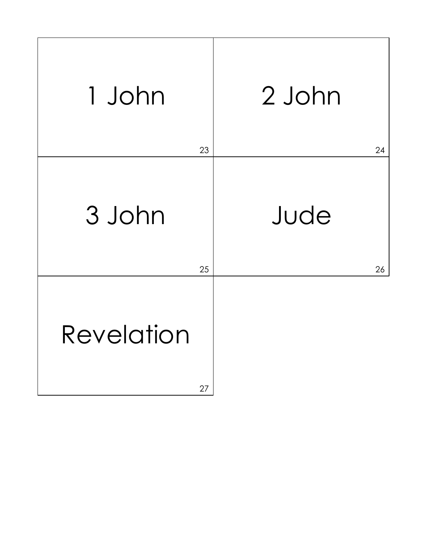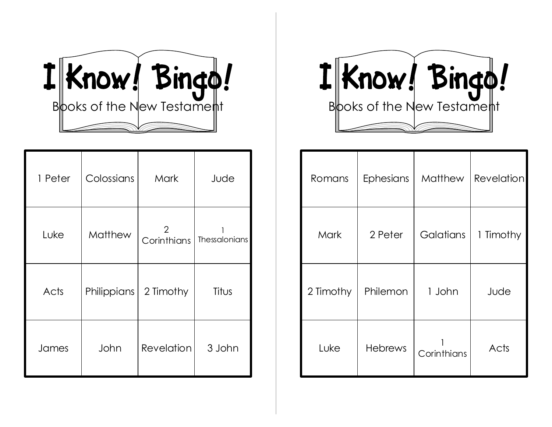

| 1 Peter | Colossians     | Mark                          | Jude                 |
|---------|----------------|-------------------------------|----------------------|
| Luke    | <b>Matthew</b> | $\overline{2}$<br>Corinthians | <b>Thessalonians</b> |
| Acts    | Philippians    | 2 Timothy                     | Titus                |
| James   | John           | <b>Revelation</b>             | 3 John               |



| Romans    | Ephesians      | Matthew     | Revelation |
|-----------|----------------|-------------|------------|
| Mark      | 2 Peter        | Galatians   | 1 Timothy  |
| 2 Timothy | Philemon       | 1 John      | Jude       |
| Luke      | <b>Hebrews</b> | Corinthians | Acts       |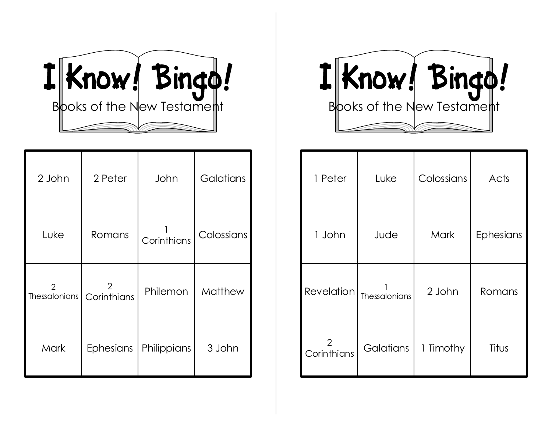

| 2 John                                | 2 Peter          | John        | Galatians  |
|---------------------------------------|------------------|-------------|------------|
| Luke                                  | Romans           | Corinthians | Colossians |
| $\mathcal{P}$<br><b>Thessalonians</b> | 2<br>Corinthians | Philemon    | Matthew    |
| Mark                                  | <b>Ephesians</b> | Philippians | 3 John     |



| 1 Peter          | Luke          | Colossians | Acts      |
|------------------|---------------|------------|-----------|
| 1 John           | Jude          | Mark       | Ephesians |
| Revelation       | Thessalonians | 2 John     | Romans    |
| 2<br>Corinthians | Galatians     | 1 Timothy  | Titus     |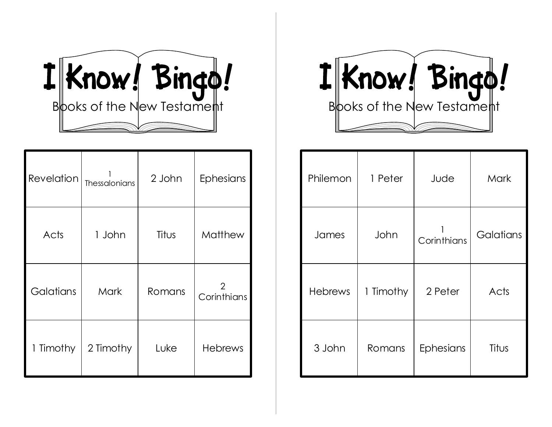

| Revelation | Thessalonians | 2 John | Ephesians                     |
|------------|---------------|--------|-------------------------------|
| Acts       | 1 John        | Titus  | <b>Matthew</b>                |
| Galatians  | Mark          | Romans | $\overline{2}$<br>Corinthians |
| 1 Timothy  | 2 Timothy     | Luke   | <b>Hebrews</b>                |



| Philemon       | 1 Peter   | Jude        | Mark      |
|----------------|-----------|-------------|-----------|
| James          | John      | Corinthians | Galatians |
| <b>Hebrews</b> | 1 Timothy | 2 Peter     | Acts      |
| 3 John         | Romans    | Ephesians   | Titus     |